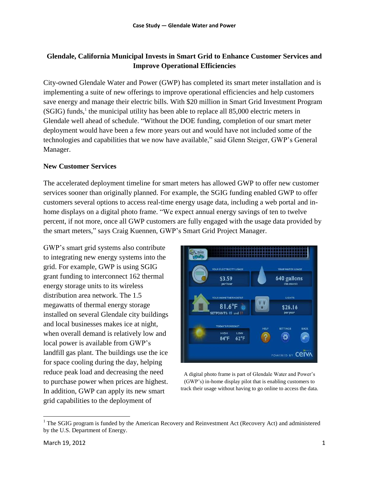# **Glendale, California Municipal Invests in Smart Grid to Enhance Customer Services and Improve Operational Efficiencies**

City-owned Glendale Water and Power (GWP) has completed its smart meter installation and is implementing a suite of new offerings to improve operational efficiencies and help customers save energy and manage their electric bills. With \$20 million in Smart Grid Investment Program (SGIG) funds,<sup>1</sup> the municipal utility has been able to replace all 85,000 electric meters in Glendale well ahead of schedule. "Without the DOE funding, completion of our smart meter deployment would have been a few more years out and would have not included some of the technologies and capabilities that we now have available," said Glenn Steiger, GWP's General Manager.

#### **New Customer Services**

The accelerated deployment timeline for smart meters has allowed GWP to offer new customer services sooner than originally planned. For example, the SGIG funding enabled GWP to offer customers several options to access real-time energy usage data, including a web portal and inhome displays on a digital photo frame. "We expect annual energy savings of ten to twelve percent, if not more, once all GWP customers are fully engaged with the usage data provided by the smart meters," says Craig Kuennen, GWP's Smart Grid Project Manager.

GWP's smart grid systems also contribute to integrating new energy systems into the grid. For example, GWP is using SGIG grant funding to interconnect 162 thermal energy storage units to its wireless distribution area network. The 1.5 megawatts of thermal energy storage installed on several Glendale city buildings and local businesses makes ice at night, when overall demand is relatively low and local power is available from GWP's landfill gas plant. The buildings use the ice for space cooling during the day, helping reduce peak load and decreasing the need to purchase power when prices are highest. In addition, GWP can apply its new smart grid capabilities to the deployment of



A digital photo frame is part of Glendale Water and Power's (GWP's) in-home display pilot that is enabling customers to track their usage without having to go online to access the data.

 $\overline{a}$ 

<sup>&</sup>lt;sup>1</sup> The SGIG program is funded by the American Recovery and Reinvestment Act (Recovery Act) and administered by the U.S. Department of Energy.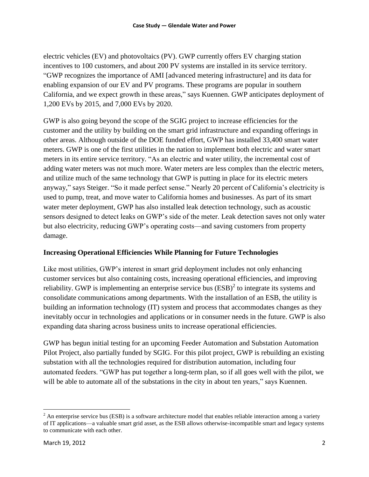electric vehicles (EV) and photovoltaics (PV). GWP currently offers EV charging station incentives to 100 customers, and about 200 PV systems are installed in its service territory. "GWP recognizes the importance of AMI [advanced metering infrastructure] and its data for enabling expansion of our EV and PV programs. These programs are popular in southern California, and we expect growth in these areas," says Kuennen. GWP anticipates deployment of 1,200 EVs by 2015, and 7,000 EVs by 2020.

GWP is also going beyond the scope of the SGIG project to increase efficiencies for the customer and the utility by building on the smart grid infrastructure and expanding offerings in other areas. Although outside of the DOE funded effort, GWP has installed 33,400 smart water meters. GWP is one of the first utilities in the nation to implement both electric and water smart meters in its entire service territory. "As an electric and water utility, the incremental cost of adding water meters was not much more. Water meters are less complex than the electric meters, and utilize much of the same technology that GWP is putting in place for its electric meters anyway," says Steiger. "So it made perfect sense." Nearly 20 percent of California's electricity is used to pump, treat, and move water to California homes and businesses. As part of its smart water meter deployment, GWP has also installed leak detection technology, such as acoustic sensors designed to detect leaks on GWP's side of the meter. Leak detection saves not only water but also electricity, reducing GWP's operating costs—and saving customers from property damage.

### **Increasing Operational Efficiencies While Planning for Future Technologies**

Like most utilities, GWP's interest in smart grid deployment includes not only enhancing customer services but also containing costs, increasing operational efficiencies, and improving reliability. GWP is implementing an enterprise service bus  $(ESB)^2$  to integrate its systems and consolidate communications among departments. With the installation of an ESB, the utility is building an information technology (IT) system and process that accommodates changes as they inevitably occur in technologies and applications or in consumer needs in the future. GWP is also expanding data sharing across business units to increase operational efficiencies.

GWP has begun initial testing for an upcoming Feeder Automation and Substation Automation Pilot Project, also partially funded by SGIG. For this pilot project, GWP is rebuilding an existing substation with all the technologies required for distribution automation, including four automated feeders. "GWP has put together a long-term plan, so if all goes well with the pilot, we will be able to automate all of the substations in the city in about ten years," says Kuennen.

 $\overline{a}$ 

 $2$  An enterprise service bus (ESB) is a software architecture model that enables reliable interaction among a variety of IT applications—a valuable smart grid asset, as the ESB allows otherwise-incompatible smart and legacy systems to communicate with each other.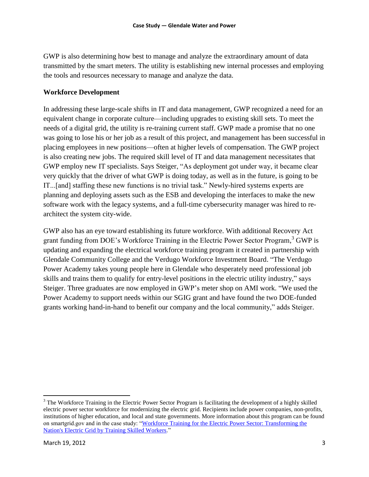GWP is also determining how best to manage and analyze the extraordinary amount of data transmitted by the smart meters. The utility is establishing new internal processes and employing the tools and resources necessary to manage and analyze the data.

#### **Workforce Development**

In addressing these large-scale shifts in IT and data management, GWP recognized a need for an equivalent change in corporate culture—including upgrades to existing skill sets. To meet the needs of a digital grid, the utility is re-training current staff. GWP made a promise that no one was going to lose his or her job as a result of this project, and management has been successful in placing employees in new positions—often at higher levels of compensation. The GWP project is also creating new jobs. The required skill level of IT and data management necessitates that GWP employ new IT specialists. Says Steiger, "As deployment got under way, it became clear very quickly that the driver of what GWP is doing today, as well as in the future, is going to be IT...[and] staffing these new functions is no trivial task." Newly-hired systems experts are planning and deploying assets such as the ESB and developing the interfaces to make the new software work with the legacy systems, and a full-time cybersecurity manager was hired to rearchitect the system city-wide.

GWP also has an eye toward establishing its future workforce. With additional Recovery Act grant funding from DOE's Workforce Training in the Electric Power Sector Program, <sup>3</sup> GWP is updating and expanding the electrical workforce training program it created in partnership with Glendale Community College and the Verdugo Workforce Investment Board. "The Verdugo Power Academy takes young people here in Glendale who desperately need professional job skills and trains them to qualify for entry-level positions in the electric utility industry," says Steiger. Three graduates are now employed in GWP's meter shop on AMI work. "We used the Power Academy to support needs within our SGIG grant and have found the two DOE-funded grants working hand-in-hand to benefit our company and the local community," adds Steiger.

 $\overline{a}$ <sup>3</sup> The Workforce Training in the Electric Power Sector Program is facilitating the development of a highly skilled electric power sector workforce for modernizing the electric grid. Recipients include power companies, non-profits, institutions of higher education, and local and state governments. More information about this program can be found on smartgrid.gov and in the case study: "Workforce Training for the Electric Power Sector: Transforming the [Nation's Electric Grid by Training Skilled Workers.](http://energy.gov/oe/downloads/workforce-training-electric-power-sector-transforming-nation-s-electric-grid-training)"